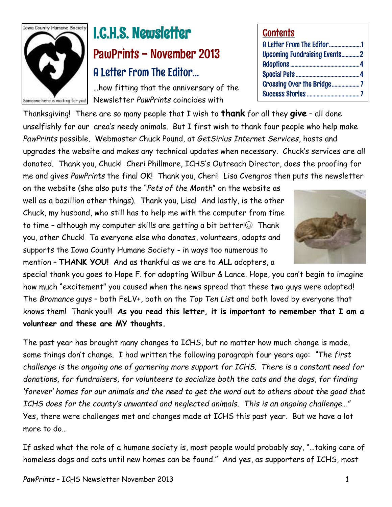

# I.C.H.S. Newsletter PawPrints - November 2013 A Letter From The Editor…

…how fitting that the anniversary of the Newsletter *PawPrints* coincides with

Thanksgiving! There are so many people that I wish to **thank** for all they **give** – all done unselfishly for our area's needy animals. But I first wish to thank four people who help make *PawPrints* possible. Webmaster Chuck Pound, at *GetSirius Internet Services*, hosts and upgrades the website and makes any technical updates when necessary. Chuck's services are all donated. Thank you, Chuck! Cheri Phillmore, ICHS's Outreach Director, does the proofing for me and gives *PawPrints* the final OK! Thank you, Cheri! Lisa Cvengros then puts the newsletter

on the website (she also puts the "*Pets of the Month*" on the website as well as a bazillion other things). Thank you, Lisa! And lastly, is the other Chuck, my husband, who still has to help me with the computer from time to time – although my computer skills are getting a bit better! $\odot$  Thank you, other Chuck! To everyone else who donates, volunteers, adopts and supports the Iowa County Humane Society - in ways too numerous to mention – **THANK YOU!** And as thankful as we are to **ALL** adopters, a

special thank you goes to Hope F. for adopting Wilbur & Lance. Hope, you can't begin to imagine how much "excitement" you caused when the news spread that these two guys were adopted! The *Bromance* guys – both FeLV+, both on the *Top Ten List* and both loved by everyone that knows them! Thank you!!! **As you read this letter, it is important to remember that I am a volunteer and these are MY thoughts.**

The past year has brought many changes to ICHS, but no matter how much change is made, some things don't change. I had written the following paragraph four years ago: *"The first challenge is the ongoing one of garnering more support for ICHS. There is a constant need for donations, for fundraisers, for volunteers to socialize both the cats and the dogs, for finding 'forever' homes for our animals and the need to get the word out to others about the good that ICHS does for the county's unwanted and neglected animals. This is an ongoing challenge…"*  Yes, there were challenges met and changes made at ICHS this past year. But we have a lot more to do…

If asked what the role of a humane society is, most people would probably say, "…taking care of homeless dogs and cats until new homes can be found." And yes, as supporters of ICHS, most

### **Contents**

| A Letter From The Editor1           |
|-------------------------------------|
| <b>Upcoming Fundraising Events2</b> |
|                                     |
|                                     |
| <b>Crossing Over the Bridge7</b>    |
|                                     |
|                                     |

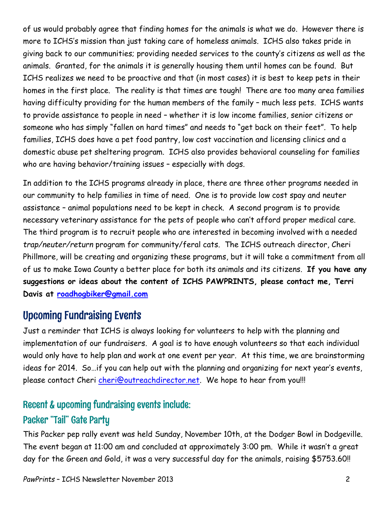of us would probably agree that finding homes for the animals is what we do. However there is more to ICHS's mission than just taking care of homeless animals. ICHS also takes pride in giving back to our communities; providing needed services to the county's citizens as well as the animals. Granted, for the animals it is generally housing them until homes can be found. But ICHS realizes we need to be proactive and that (in most cases) it is best to keep pets in their homes in the first place. The reality is that times are tough! There are too many area families having difficulty providing for the human members of the family – much less pets. ICHS wants to provide assistance to people in need – whether it is low income families, senior citizens or someone who has simply "fallen on hard times" and needs to "get back on their feet". To help families, ICHS does have a pet food pantry, low cost vaccination and licensing clinics and a domestic abuse pet sheltering program. ICHS also provides behavioral counseling for families who are having behavior/training issues – especially with dogs.

In addition to the ICHS programs already in place, there are three other programs needed in our community to help families in time of need. One is to provide low cost spay and neuter assistance – animal populations need to be kept in check. A second program is to provide necessary veterinary assistance for the pets of people who can't afford proper medical care. The third program is to recruit people who are interested in becoming involved with a needed *trap/neuter/return* program for community/feral cats. The ICHS outreach director, Cheri Phillmore, will be creating and organizing these programs, but it will take a commitment from all of us to make Iowa County a better place for both its animals and its citizens. **If you have any suggestions or ideas about the content of ICHS PAWPRINTS, please contact me, Terri Davis at [roadhogbiker@gmail.com](mailto:roadhogbiker@gmail.com)**

### Upcoming Fundraising Events

Just a reminder that ICHS is always looking for volunteers to help with the planning and implementation of our fundraisers. A goal is to have enough volunteers so that each individual would only have to help plan and work at one event per year. At this time, we are brainstorming ideas for 2014. So…if you can help out with the planning and organizing for next year's events, please contact Cheri [cheri@outreachdirector.net.](mailto:cheri@outreachdirector.net) We hope to hear from you!!!

### Recent & upcoming fundraising events include:

### Packer "Tail" Gate Party

This Packer pep rally event was held Sunday, November 10th, at the Dodger Bowl in Dodgeville. The event began at 11:00 am and concluded at approximately 3:00 pm. While it wasn't a great day for the Green and Gold, it was a very successful day for the animals, raising \$5753.60!!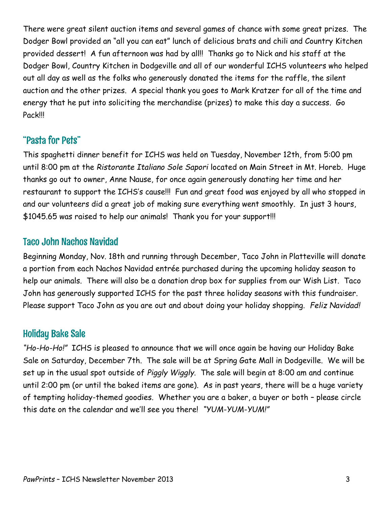There were great silent auction items and several games of chance with some great prizes. The Dodger Bowl provided an "all you can eat" lunch of delicious brats and chili and Country Kitchen provided dessert! A fun afternoon was had by all!! Thanks go to Nick and his staff at the Dodger Bowl, Country Kitchen in Dodgeville and all of our wonderful ICHS volunteers who helped out all day as well as the folks who generously donated the items for the raffle, the silent auction and the other prizes. A special thank you goes to Mark Kratzer for all of the time and energy that he put into soliciting the merchandise (prizes) to make this day a success. Go Pack!!!

### "Pasta for Pets"

This spaghetti dinner benefit for ICHS was held on Tuesday, November 12th, from 5:00 pm until 8:00 pm at the *Ristorante Italiano Sole Sapori* located on Main Street in Mt. Horeb. Huge thanks go out to owner, Anne Nause, for once again generously donating her time and her restaurant to support the ICHS's cause!!! Fun and great food was enjoyed by all who stopped in and our volunteers did a great job of making sure everything went smoothly. In just 3 hours, \$1045.65 was raised to help our animals! Thank you for your support!!!

### Taco John Nachos Navidad

Beginning Monday, Nov. 18th and running through December, Taco John in Platteville will donate a portion from each Nachos Navidad entrée purchased during the upcoming holiday season to help our animals. There will also be a donation drop box for supplies from our Wish List. Taco John has generously supported ICHS for the past three holiday seasons with this fundraiser. Please support Taco John as you are out and about doing your holiday shopping. *Feliz Navidad!* 

### Holiday Bake Sale

*"Ho-Ho-Ho!"* ICHS is pleased to announce that we will once again be having our Holiday Bake Sale on Saturday, December 7th. The sale will be at Spring Gate Mall in Dodgeville. We will be set up in the usual spot outside of *Piggly Wiggly*. The sale will begin at 8:00 am and continue until 2:00 pm (or until the baked items are gone). As in past years, there will be a huge variety of tempting holiday-themed goodies. Whether you are a baker, a buyer or both – please circle this date on the calendar and we'll see you there! *"YUM-YUM-YUM!"*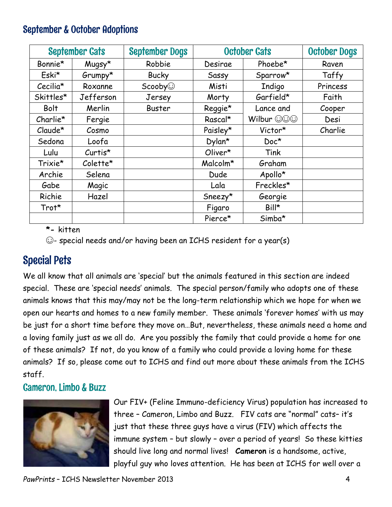### September & October Adoptions

| <b>September Cats</b> |           | <b>September Dogs</b> | <b>October Cats</b> |               | <b>October Dogs</b> |
|-----------------------|-----------|-----------------------|---------------------|---------------|---------------------|
| Bonnie*               | Mugsy*    | Robbie                | Desirae             | Phoebe*       | Raven               |
| Eski*                 | $Grumpy*$ | <b>Bucky</b>          | Sassy               | Sparrow*      | Taffy               |
| Cecilia*              | Roxanne   | $S \text{cooby}$      | Misti               | <b>Indigo</b> | Princess            |
| Skittles*             | Jefferson | Jersey                | Morty               | Garfield*     | Faith               |
| <b>Bolt</b>           | Merlin    | <b>Buster</b>         | Reggie*             | Lance and     | Cooper              |
| Charlie*              | Fergie    |                       | Rascal*             | Wilbur OOO    | Desi                |
| $Claude*$             | Cosmo     |                       | Paisley*            | Victor*       | Charlie             |
| Sedona                | Loofa     |                       | Dylan*              | $Doc*$        |                     |
| Lulu                  | $Curtis*$ |                       | Oliver*             | Tink          |                     |
| Trixie*               | Colette*  |                       | Malcolm*            | Graham        |                     |
| Archie                | Selena    |                       | <b>Dude</b>         | Apollo*       |                     |
| Gabe                  | Magic     |                       | Lala                | Freckles*     |                     |
| Richie                | Hazel     |                       | $S$ neezy $*$       | Georgie       |                     |
| Trot*                 |           |                       | Figaro              | Bill*         |                     |
|                       |           |                       | Pierce*             | Simba*        |                     |

**\*-** kitten

☺- special needs and/or having been an ICHS resident for a year(s)

## Special Pets

We all know that all animals are 'special' but the animals featured in this section are indeed special. These are 'special needs' animals. The special person/family who adopts one of these animals knows that this may/may not be the long-term relationship which we hope for when we open our hearts and homes to a new family member. These animals 'forever homes' with us may be just for a short time before they move on…But, nevertheless, these animals need a home and a loving family just as we all do. Are you possibly the family that could provide a home for one of these animals? If not, do you know of a family who could provide a loving home for these animals? If so, please come out to ICHS and find out more about these animals from the ICHS staff.

### Cameron, Limbo & Buzz



Our FIV+ (Feline Immuno-deficiency Virus) population has increased to three – Cameron, Limbo and Buzz. FIV cats are "normal" cats– it's just that these three guys have a virus (FIV) which affects the immune system – but slowly – over a period of years! So these kitties should live long and normal lives! **Cameron** is a handsome, active, playful guy who loves attention. He has been at ICHS for well over a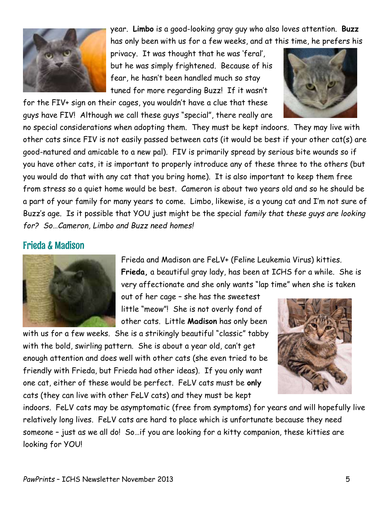

year. **Limbo** is a good-looking gray guy who also loves attention. **Buzz** has only been with us for a few weeks, and at this time, he prefers his

privacy. It was thought that he was 'feral', but he was simply frightened. Because of his fear, he hasn't been handled much so stay tuned for more regarding Buzz! If it wasn't

for the FIV+ sign on their cages, you wouldn't have a clue that these guys have FIV! Although we call these guys "special", there really are



no special considerations when adopting them. They must be kept indoors. They may live with other cats since FIV is not easily passed between cats (it would be best if your other cat(s) are good-natured and amicable to a new pal). FIV is primarily spread by serious bite wounds so if you have other cats, it is important to properly introduce any of these three to the others (but you would do that with any cat that you bring home). It is also important to keep them free from stress so a quiet home would be best. Cameron is about two years old and so he should be a part of your family for many years to come. Limbo, likewise, is a young cat and I'm not sure of Buzz's age. Is it possible that YOU just might be the special *family that these guys are looking for? So…Cameron, Limbo and Buzz need homes!*

### Frieda & Madison



Frieda and Madison are FeLV+ (Feline Leukemia Virus) kitties. **Frieda,** a beautiful gray lady, has been at ICHS for a while. She is very affectionate and she only wants "lap time" when she is taken

out of her cage – she has the sweetest little "meow"! She is not overly fond of other cats. Little **Madison** has only been

with us for a few weeks. She is a strikingly beautiful "classic" tabby with the bold, swirling pattern. She is about a year old, can't get enough attention and does well with other cats (she even tried to be friendly with Frieda, but Frieda had other ideas). If you only want one cat, either of these would be perfect. FeLV cats must be **only** cats (they can live with other FeLV cats) and they must be kept



indoors. FeLV cats may be asymptomatic (free from symptoms) for years and will hopefully live relatively long lives. FeLV cats are hard to place which is unfortunate because they need someone – just as we all do! So…if you are looking for a kitty companion, these kitties are looking for YOU!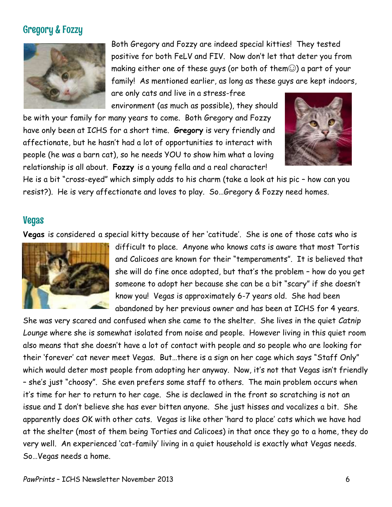### Gregory & Fozzy



Both Gregory and Fozzy are indeed special kitties! They tested positive for both FeLV and FIV. Now don't let that deter you from making either one of these guys (or both of them $\odot$ ) a part of your family! As mentioned earlier, as long as these guys are kept indoors,

are only cats and live in a stress-free environment (as much as possible), they should

be with your family for many years to come. Both Gregory and Fozzy have only been at ICHS for a short time. **Gregory** is very friendly and affectionate, but he hasn't had a lot of opportunities to interact with people (he was a barn cat), so he needs YOU to show him what a loving relationship is all about. **Fozzy** is a young fella and a real character!



He is a bit "cross-eyed" which simply adds to his charm (take a look at his pic – how can you resist?). He is very affectionate and loves to play. So…Gregory & Fozzy need homes.

### Vegas

**Vegas** is considered a special kitty because of her 'catitude'. She is one of those cats who is



difficult to place. Anyone who knows cats is aware that most Tortis and Calicoes are known for their "temperaments". It is believed that she will do fine once adopted, but that's the problem – how do you get someone to adopt her because she can be a bit "scary" if she doesn't know you! Vegas is approximately 6-7 years old. She had been abandoned by her previous owner and has been at ICHS for 4 years.

She was very scared and confused when she came to the shelter. She lives in the quiet *Catnip Lounge* where she is somewhat isolated from noise and people. However living in this quiet room also means that she doesn't have a lot of contact with people and so people who are looking for their 'forever' cat never meet Vegas. But…there is a sign on her cage which says "Staff Only" which would deter most people from adopting her anyway. Now, it's not that Vegas isn't friendly – she's just "choosy". She even prefers some staff to others. The main problem occurs when it's time for her to return to her cage. She is declawed in the front so scratching is not an issue and I don't believe she has ever bitten anyone. She just hisses and vocalizes a bit. She apparently does OK with other cats. Vegas is like other 'hard to place' cats which we have had at the shelter (most of them being Torties and Calicoes) in that once they go to a home, they do very well. An experienced 'cat-family' living in a quiet household is exactly what Vegas needs. So…Vegas needs a home.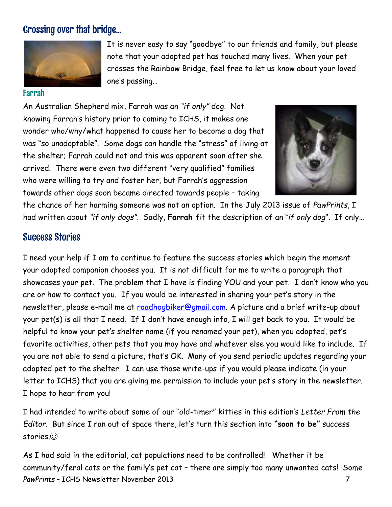### Crossing over that bridge…



#### Farrah

It is never easy to say "goodbye" to our friends and family, but please note that your adopted pet has touched many lives. When your pet crosses the Rainbow Bridge, feel free to let us know about your loved one's passing…

An Australian Shepherd mix, Farrah was an *"if only"* dog. Not knowing Farrah's history prior to coming to ICHS, it makes one wonder who/why/what happened to cause her to become a dog that was "so unadoptable". Some dogs can handle the "stress" of living at the shelter; Farrah could not and this was apparent soon after she arrived. There were even two different "very qualified" families who were willing to try and foster her, but Farrah's aggression towards other dogs soon became directed towards people – taking



the chance of her harming someone was not an option. In the July 2013 issue of *PawPrints,* I had written about *"if only dogs".* Sadly, **Farrah** fit the description of an "*if only dog*". If only…

### Success Stories

I need your help if I am to continue to feature the success stories which begin the moment your adopted companion chooses you. It is not difficult for me to write a paragraph that showcases your pet. The problem that I have is finding YOU and your pet. I don't know who you are or how to contact you. If you would be interested in sharing your pet's story in the newsletter, please e-mail me at [roadhogbiker@gmail.com.](mailto:roadhogbiker@gmail.com) A picture and a brief write-up about your pet(s) is all that I need. If I don't have enough info, I will get back to you. It would be helpful to know your pet's shelter name (if you renamed your pet), when you adopted, pet's favorite activities, other pets that you may have and whatever else you would like to include. If you are not able to send a picture, that's OK. Many of you send periodic updates regarding your adopted pet to the shelter. I can use those write-ups if you would please indicate (in your letter to ICHS) that you are giving me permission to include your pet's story in the newsletter. I hope to hear from you!

I had intended to write about some of our "old-timer" kitties in this edition's *Letter From the Editor.* But since I ran out of space there, let's turn this section into **"soon to be"** success stories.

*PawPrints* – ICHS Newsletter November 2013 7 As I had said in the editorial, cat populations need to be controlled! Whether it be community/feral cats or the family's pet cat – there are simply too many unwanted cats! Some